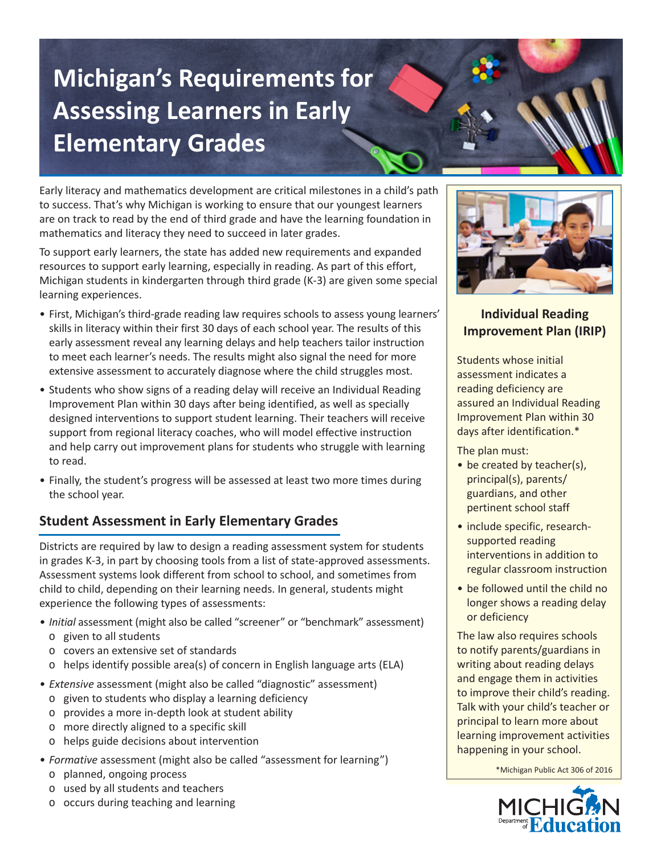# **Michigan's Requirements for Assessing Learners in Early Elementary Grades**

Early literacy and mathematics development are critical milestones in a child's path to success. That's why Michigan is working to ensure that our youngest learners are on track to read by the end of third grade and have the learning foundation in mathematics and literacy they need to succeed in later grades.

To support early learners, the state has added new requirements and expanded resources to support early learning, especially in reading. As part of this effort, Michigan students in kindergarten through third grade (K-3) are given some special learning experiences.

- First, Michigan's third-grade reading law requires schools to assess young learners' skills in literacy within their first 30 days of each school year. The results of this early assessment reveal any learning delays and help teachers tailor instruction to meet each learner's needs. The results might also signal the need for more extensive assessment to accurately diagnose where the child struggles most.
- Students who show signs of a reading delay will receive an Individual Reading Improvement Plan within 30 days after being identified, as well as specially designed interventions to support student learning. Their teachers will receive support from regional literacy coaches, who will model effective instruction and help carry out improvement plans for students who struggle with learning to read.
- Finally, the student's progress will be assessed at least two more times during the school year.

## **Student Assessment in Early Elementary Grades**

Districts are required by law to design a reading assessment system for students in grades K-3, in part by choosing tools from a list of state-approved assessments. Assessment systems look different from school to school, and sometimes from child to child, depending on their learning needs. In general, students might experience the following types of assessments:

- *• Initial* assessment (might also be called "screener" or "benchmark" assessment) o given to all students
	- o covers an extensive set of standards
	- τ helps identify possible area(s) of concern in English language arts (ELA)
- *• Extensive* assessment (might also be called "diagnostic" assessment)
	- o given to students who display a learning deficiency
	- o provides a more in-depth look at student ability
	- o more directly aligned to a specific skill
	- o helps guide decisions about intervention
- *• Formative* assessment (might also be called "assessment for learning")
	- τ planned, ongoing process
	- o used by all students and teachers
	- τ occurs during teaching and learning



### **Individual Reading Improvement Plan (IRIP)**

Students whose initial assessment indicates a reading deficiency are assured an Individual Reading Improvement Plan within 30 days after identification.\*

The plan must:

- be created by teacher(s), principal(s), parents/ guardians, and other pertinent school staff
- include specific, researchsupported reading interventions in addition to regular classroom instruction
- be followed until the child no longer shows a reading delay or deficiency

The law also requires schools to notify parents/guardians in writing about reading delays and engage them in activities to improve their child's reading. Talk with your child's teacher or principal to learn more about learning improvement activities happening in your school.

\*Michigan Public Act 306 of 2016